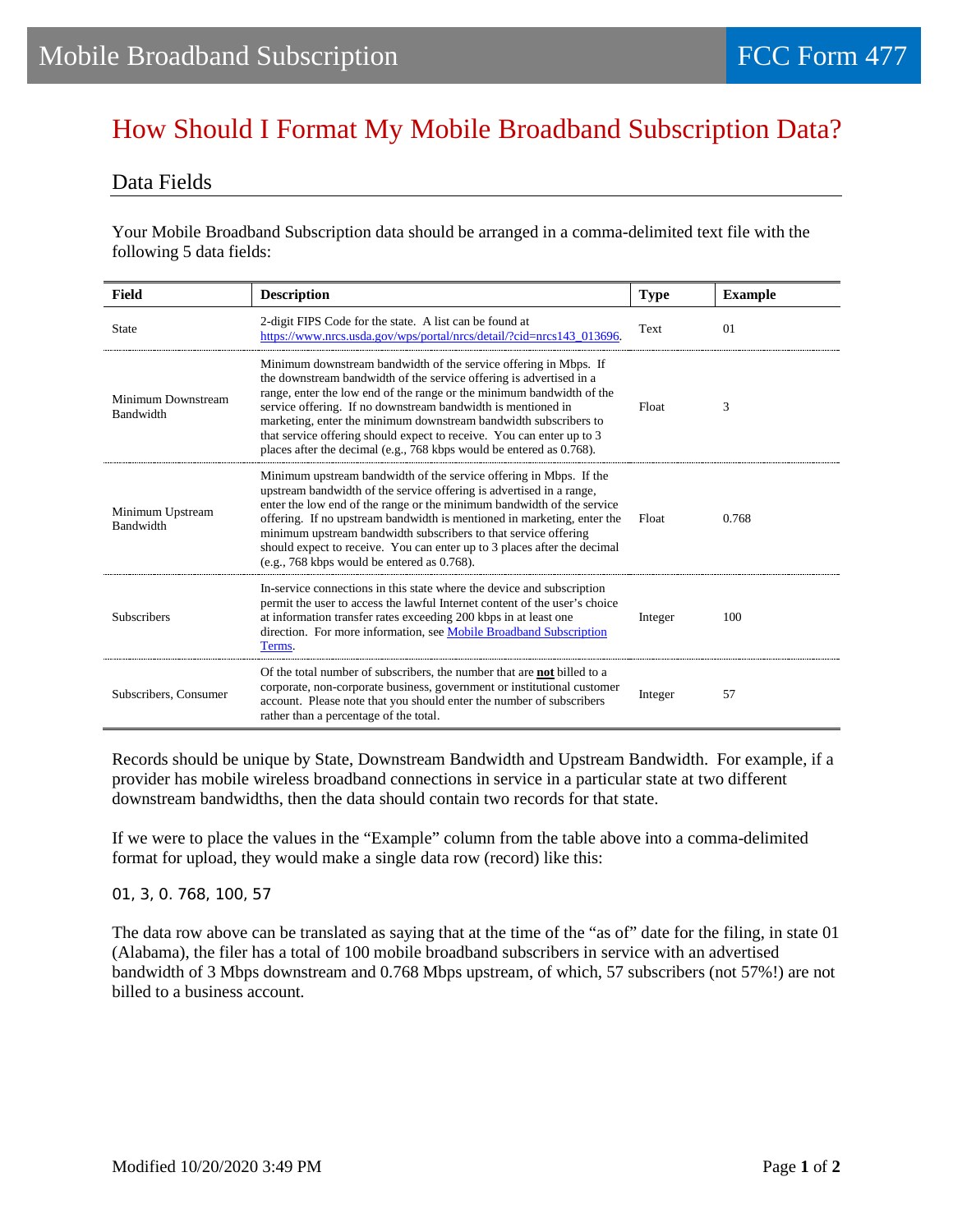## How Should I Format My Mobile Broadband Subscription Data?

## Data Fields

Your Mobile Broadband Subscription data should be arranged in a comma-delimited text file with the following 5 data fields:

| <b>Field</b>                    | <b>Description</b>                                                                                                                                                                                                                                                                                                                                                                                                                                                                                    | <b>Type</b> | <b>Example</b> |
|---------------------------------|-------------------------------------------------------------------------------------------------------------------------------------------------------------------------------------------------------------------------------------------------------------------------------------------------------------------------------------------------------------------------------------------------------------------------------------------------------------------------------------------------------|-------------|----------------|
| <b>State</b>                    | 2-digit FIPS Code for the state. A list can be found at<br>https://www.nrcs.usda.gov/wps/portal/nrcs/detail/?cid=nrcs143_013696.                                                                                                                                                                                                                                                                                                                                                                      | Text        | 01             |
| Minimum Downstream<br>Bandwidth | Minimum downstream bandwidth of the service offering in Mbps. If<br>the downstream bandwidth of the service offering is advertised in a<br>range, enter the low end of the range or the minimum bandwidth of the<br>service offering. If no downstream bandwidth is mentioned in<br>marketing, enter the minimum downstream bandwidth subscribers to<br>that service offering should expect to receive. You can enter up to 3<br>places after the decimal (e.g., 768 kbps would be entered as 0.768). | Float       | 3              |
| Minimum Upstream<br>Bandwidth   | Minimum upstream bandwidth of the service offering in Mbps. If the<br>upstream bandwidth of the service offering is advertised in a range,<br>enter the low end of the range or the minimum bandwidth of the service<br>offering. If no upstream bandwidth is mentioned in marketing, enter the<br>minimum upstream bandwidth subscribers to that service offering<br>should expect to receive. You can enter up to 3 places after the decimal<br>(e.g., 768 kbps would be entered as 0.768).         | Float       | 0.768          |
| <b>Subscribers</b>              | In-service connections in this state where the device and subscription<br>permit the user to access the lawful Internet content of the user's choice<br>at information transfer rates exceeding 200 kbps in at least one<br>direction. For more information, see Mobile Broadband Subscription<br>Terms.                                                                                                                                                                                              | Integer     | 100            |
| Subscribers, Consumer           | Of the total number of subscribers, the number that are <b>not</b> billed to a<br>corporate, non-corporate business, government or institutional customer<br>account. Please note that you should enter the number of subscribers<br>rather than a percentage of the total.                                                                                                                                                                                                                           | Integer     | 57             |

Records should be unique by State, Downstream Bandwidth and Upstream Bandwidth. For example, if a provider has mobile wireless broadband connections in service in a particular state at two different downstream bandwidths, then the data should contain two records for that state.

If we were to place the values in the "Example" column from the table above into a comma-delimited format for upload, they would make a single data row (record) like this:

## 01,3,0.768,100,57

The data row above can be translated as saying that at the time of the "as of" date for the filing, in state 01 (Alabama), the filer has a total of 100 mobile broadband subscribers in service with an advertised bandwidth of 3 Mbps downstream and 0.768 Mbps upstream, of which, 57 subscribers (not 57%!) are not billed to a business account.